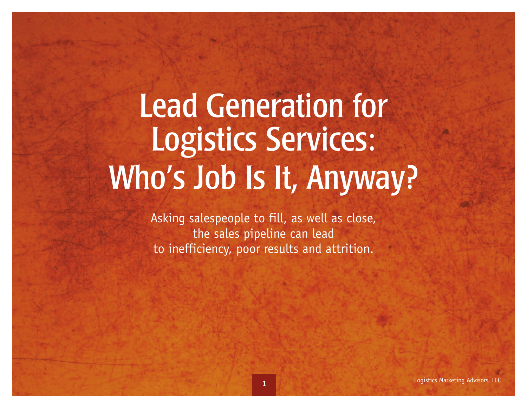# Lead Generation for Logistics Services: Who's Job Is It, Anyway?

Asking salespeople to fill, as well as close, the sales pipeline can lead to inefficiency, poor results and attrition.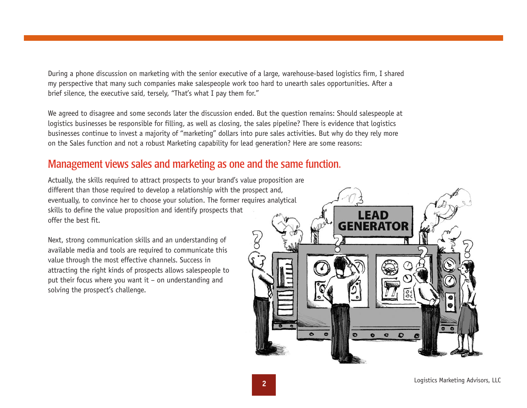During a phone discussion on marketing with the senior executive of a large, warehouse-based logistics firm, I shared my perspective that many such companies make salespeople work too hard to unearth sales opportunities. After a brief silence, the executive said, tersely, "That's what I pay them for."

We agreed to disagree and some seconds later the discussion ended. But the question remains: Should salespeople at logistics businesses be responsible for filling, as well as closing, the sales pipeline? There is evidence that logistics businesses continue to invest a majority of "marketing" dollars into pure sales activities. But why do they rely more on the Sales function and not a robust Marketing capability for lead generation? Here are some reasons:

#### Management views sales and marketing as one and the same function.

Actually, the skills required to attract prospects to your brand's value proposition are different than those required to develop a relationship with the prospect and, eventually, to convince her to choose your solution. The former requires analytical skills to define the value proposition and identify prospects that offer the best fit.

Next, strong communication skills and an understanding of available media and tools are required to communicate this value through the most effective channels. Success in attracting the right kinds of prospects allows salespeople to put their focus where you want it – on understanding and solving the prospect's challenge.

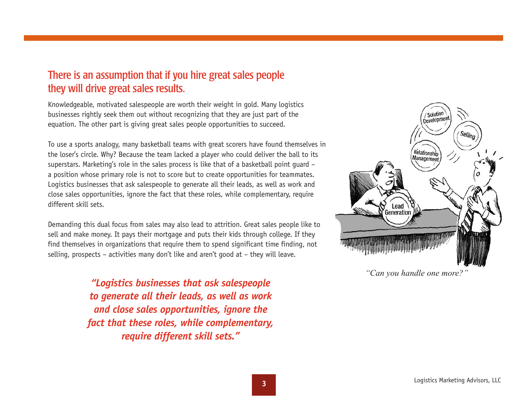### There is an assumption that if you hire great sales people they will drive great sales results.

Knowledgeable, motivated salespeople are worth their weight in gold. Many logistics businesses rightly seek them out without recognizing that they are just part of the equation. The other part is giving great sales people opportunities to succeed.

To use a sports analogy, many basketball teams with great scorers have found themselves in the loser's circle. Why? Because the team lacked a player who could deliver the ball to its superstars. Marketing's role in the sales process is like that of a basketball point guard – a position whose primary role is not to score but to create opportunities for teammates. Logistics businesses that ask salespeople to generate all their leads, as well as work and close sales opportunities, ignore the fact that these roles, while complementary, require different skill sets.

Demanding this dual focus from sales may also lead to attrition. Great sales people like to sell and make money. It pays their mortgage and puts their kids through college. If they find themselves in organizations that require them to spend significant time finding, not selling, prospects – activities many don't like and aren't good at – they will leave.

> *"Logistics businesses that ask salespeople to generate all their leads, as well as work and close sales opportunities, ignore the fact that these roles, while complementary, require different skill sets."*



*"Can you handle one more?"*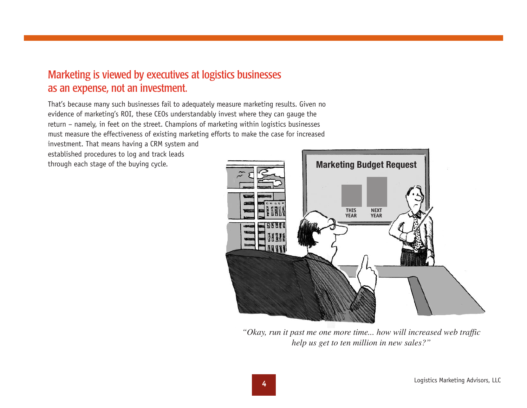### Marketing is viewed by executives at logistics businesses as an expense, not an investment.

That's because many such businesses fail to adequately measure marketing results. Given no evidence of marketing's ROI, these CEOs understandably invest where they can gauge the return – namely, in feet on the street. Champions of marketing within logistics businesses must measure the effectiveness of existing marketing efforts to make the case for increased

investment. That means having a CRM system and established procedures to log and track leads through each stage of the buying cycle.



*"Okay, run it past me one more time... how will increased web traffic help us get to ten million in new sales?"*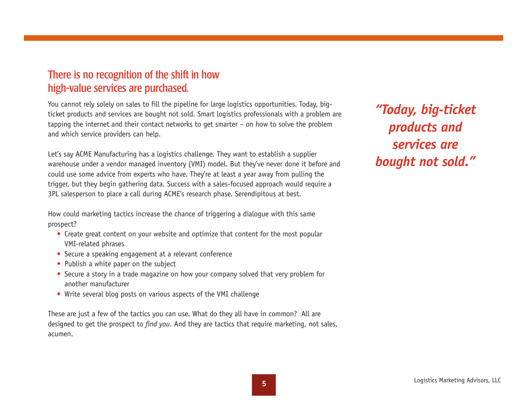## There is no recognition of the shift in how high-value services are purchased.

You cannot rely solely on sales to fill the pipeline for large logistics opportunities. Today, bigticket products and services are bought not sold. Smart logistics professionals with a problem are tapping the internet and their contact networks to get smarter – on how to solve the problem and which service providers can help.

Let's say ACME Manufacturing has a logistics challenge. They want to establish a supplier warehouse under a vendor managed inventory (VMI) model. But they've never done it before and could use some advice from experts who have. They're at least a year away from pulling the trigger, but they begin gathering data. Success with a sales-focused approach would require a 3PL salesperson to place a call during ACME's research phase. Serendipitous at best.

How could marketing tactics increase the chance of triggering a dialogue with this same prospect?

- Create great content on your website and optimize that content for the most popular VMI-related phrases
- Secure a speaking engagement at a relevant conference
- Publish a white paper on the subject
- Secure a story in a trade magazine on how your company solved that very problem for another manufacturer
- Write several blog posts on various aspects of the VMI challenge

These are just a few of the tactics you can use. What do they all have in common? All are designed to get the prospect to *find you*. And they are tactics that require marketing, not sales, acumen.

*"Today, big-ticket products and services are bought not sold."*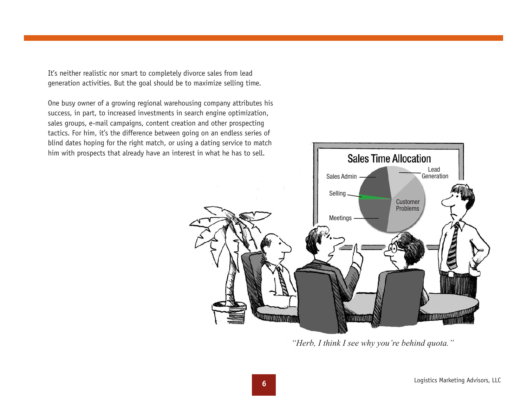It's neither realistic nor smart to completely divorce sales from lead generation activities. But the goal should be to maximize selling time.

One busy owner of a growing regional warehousing company attributes his success, in part, to increased investments in search engine optimization, sales groups, e-mail campaigns, content creation and other prospecting tactics. For him, it's the difference between going on an endless series of blind dates hoping for the right match, or using a dating service to match him with prospects that already have an interest in what he has to sell.



*"Herb, I think I see why you're behind quota."*